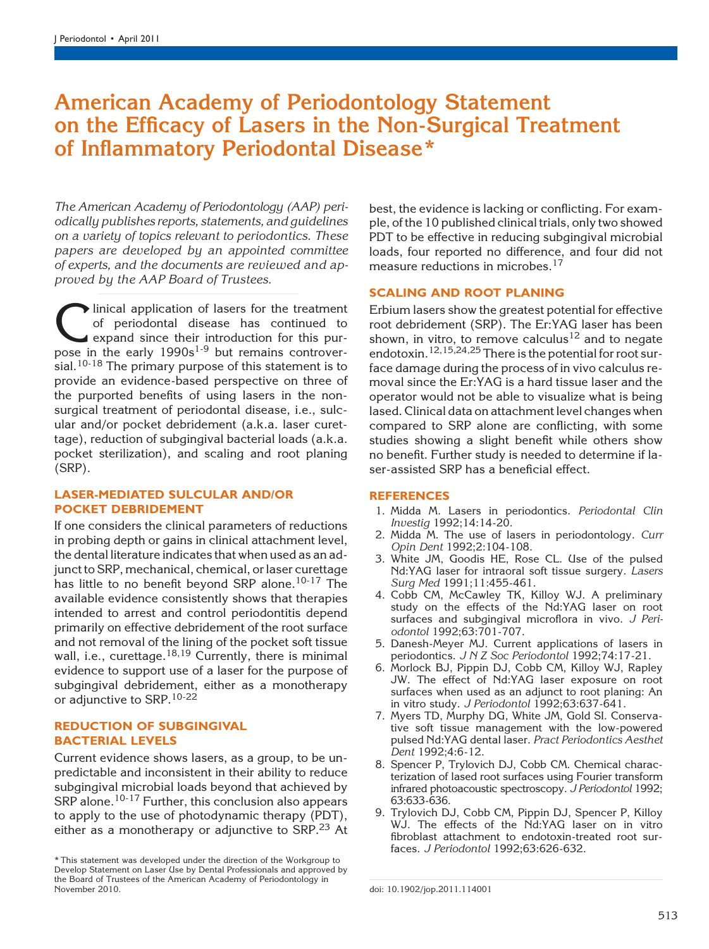# American Academy of Periodontology Statement on the Efficacy of Lasers in the Non-Surgical Treatment of Inflammatory Periodontal Disease\*

The American Academy of Periodontology (AAP) periodically publishes reports, statements, and guidelines on a variety of topics relevant to periodontics. These papers are developed by an appointed committee of experts, and the documents are reviewed and approved by the AAP Board of Trustees.

Clinical application of lasers for the treatment<br>of periodontal disease has continued to<br>expand since their introduction for this pur-<br>pose in the early  $1990s^{1-9}$  but remains controverof periodontal disease has continued to expand since their introduction for this purpose in the early  $1990s^{1.9}$  but remains controversial.<sup>10-18</sup> The primary purpose of this statement is to provide an evidence-based perspective on three of the purported benefits of using lasers in the nonsurgical treatment of periodontal disease, i.e., sulcular and/or pocket debridement (a.k.a. laser curettage), reduction of subgingival bacterial loads (a.k.a. pocket sterilization), and scaling and root planing (SRP).

## LASER-MEDIATED SULCULAR AND/OR POCKET DEBRIDEMENT

If one considers the clinical parameters of reductions in probing depth or gains in clinical attachment level, the dental literature indicates that when used as an adjunct to SRP, mechanical, chemical, or laser curettage has little to no benefit beyond SRP alone.<sup>10-17</sup> The available evidence consistently shows that therapies intended to arrest and control periodontitis depend primarily on effective debridement of the root surface and not removal of the lining of the pocket soft tissue wall, i.e., curettage. $18,19$  Currently, there is minimal evidence to support use of a laser for the purpose of subgingival debridement, either as a monotherapy or adjunctive to SRP.<sup>10-22</sup>

### REDUCTION OF SUBGINGIVAL BACTERIAL LEVELS

Current evidence shows lasers, as a group, to be unpredictable and inconsistent in their ability to reduce subgingival microbial loads beyond that achieved by SRP alone.<sup>10-17</sup> Further, this conclusion also appears to apply to the use of photodynamic therapy (PDT), either as a monotherapy or adjunctive to SRP. $^{23}$  At best, the evidence is lacking or conflicting. For example, of the 10 published clinical trials, only two showed PDT to be effective in reducing subgingival microbial loads, four reported no difference, and four did not measure reductions in microbes.<sup>17</sup>

## SCALING AND ROOT PLANING

Erbium lasers show the greatest potential for effective root debridement (SRP). The Er:YAG laser has been shown, in vitro, to remove calculus<sup>12</sup> and to negate endotoxin.<sup>12,15,24,25</sup> There is the potential for root surface damage during the process of in vivo calculus removal since the Er:YAG is a hard tissue laser and the operator would not be able to visualize what is being lased. Clinical data on attachment level changes when compared to SRP alone are conflicting, with some studies showing a slight benefit while others show no benefit. Further study is needed to determine if laser-assisted SRP has a beneficial effect.

#### **REFERENCES**

- 1. Midda M. Lasers in periodontics. Periodontal Clin Investig 1992;14:14-20.
- 2. Midda M. The use of lasers in periodontology. Curr Opin Dent 1992;2:104-108.
- 3. White JM, Goodis HE, Rose CL. Use of the pulsed Nd:YAG laser for intraoral soft tissue surgery. Lasers Surg Med 1991;11:455-461.
- 4. Cobb CM, McCawley TK, Killoy WJ. A preliminary study on the effects of the Nd:YAG laser on root surfaces and subgingival microflora in vivo. J Periodontol 1992;63:701-707.
- 5. Danesh-Meyer MJ. Current applications of lasers in periodontics. J N Z Soc Periodontol 1992;74:17-21.
- 6. Morlock BJ, Pippin DJ, Cobb CM, Killoy WJ, Rapley JW. The effect of Nd:YAG laser exposure on root surfaces when used as an adjunct to root planing: An in vitro study. J Periodontol 1992;63:637-641.
- 7. Myers TD, Murphy DG, White JM, Gold SI. Conservative soft tissue management with the low-powered pulsed Nd:YAG dental laser. Pract Periodontics Aesthet Dent 1992;4:6-12.
- 8. Spencer P, Trylovich DJ, Cobb CM. Chemical characterization of lased root surfaces using Fourier transform infrared photoacoustic spectroscopy. J Periodontol 1992; 63:633-636.
- 9. Trylovich DJ, Cobb CM, Pippin DJ, Spencer P, Killoy WJ. The effects of the Nd:YAG laser on in vitro fibroblast attachment to endotoxin-treated root surfaces. J Periodontol 1992;63:626-632.

<sup>\*</sup> This statement was developed under the direction of the Workgroup to Develop Statement on Laser Use by Dental Professionals and approved by the Board of Trustees of the American Academy of Periodontology in<br>November 2010.

doi: 10.1902/jop.2011.114001